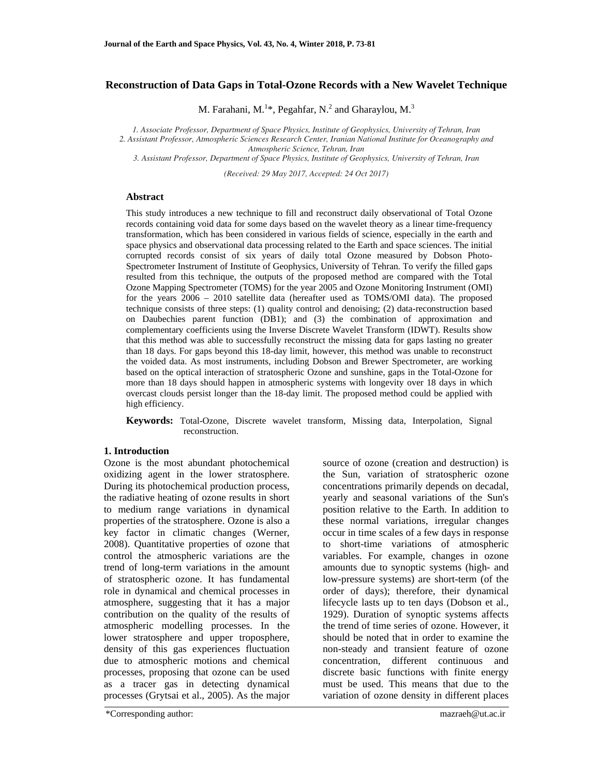## **Reconstruction of Data Gaps in Total-Ozone Records with a New Wavelet Technique**

M. Farahani, M.<sup>1\*</sup>, Pegahfar, N.<sup>2</sup> and Gharaylou, M.<sup>3</sup>

*1. Associate Professor, Department of Space Physics, Institute of Geophysics, University of Tehran, Iran 2. Assistant Professor, Atmospheric Sciences Research Center, Iranian National Institute for Oceanography and* 

*Atmospheric Science, Tehran, Iran* 

*3. Assistant Professor, Department of Space Physics, Institute of Geophysics, University of Tehran, Iran*

*(Received: 29 May 2017, Accepted: 24 Oct 2017)* 

# **Abstract**

This study introduces a new technique to fill and reconstruct daily observational of Total Ozone records containing void data for some days based on the wavelet theory as a linear time-frequency transformation, which has been considered in various fields of science, especially in the earth and space physics and observational data processing related to the Earth and space sciences. The initial corrupted records consist of six years of daily total Ozone measured by Dobson Photo-Spectrometer Instrument of Institute of Geophysics, University of Tehran. To verify the filled gaps resulted from this technique, the outputs of the proposed method are compared with the Total Ozone Mapping Spectrometer (TOMS) for the year 2005 and Ozone Monitoring Instrument (OMI) for the years 2006 – 2010 satellite data (hereafter used as TOMS/OMI data). The proposed technique consists of three steps: (1) quality control and denoising; (2) data-reconstruction based on Daubechies parent function (DB1); and (3) the combination of approximation and complementary coefficients using the Inverse Discrete Wavelet Transform (IDWT). Results show that this method was able to successfully reconstruct the missing data for gaps lasting no greater than 18 days. For gaps beyond this 18-day limit, however, this method was unable to reconstruct the voided data. As most instruments, including Dobson and Brewer Spectrometer, are working based on the optical interaction of stratospheric Ozone and sunshine, gaps in the Total-Ozone for more than 18 days should happen in atmospheric systems with longevity over 18 days in which overcast clouds persist longer than the 18-day limit. The proposed method could be applied with high efficiency.

**Keywords:** Total-Ozone, Discrete wavelet transform, Missing data, Interpolation, Signal reconstruction.

## **1. Introduction**

Ozone is the most abundant photochemical oxidizing agent in the lower stratosphere. During its photochemical production process, the radiative heating of ozone results in short to medium range variations in dynamical properties of the stratosphere. Ozone is also a key factor in climatic changes (Werner, 2008). Quantitative properties of ozone that control the atmospheric variations are the trend of long-term variations in the amount of stratospheric ozone. It has fundamental role in dynamical and chemical processes in atmosphere, suggesting that it has a major contribution on the quality of the results of atmospheric modelling processes. In the lower stratosphere and upper troposphere, density of this gas experiences fluctuation due to atmospheric motions and chemical processes, proposing that ozone can be used as a tracer gas in detecting dynamical processes (Grytsai et al., 2005). As the major source of ozone (creation and destruction) is the Sun, variation of stratospheric ozone concentrations primarily depends on decadal, yearly and seasonal variations of the Sun's position relative to the Earth. In addition to these normal variations, irregular changes occur in time scales of a few days in response to short-time variations of atmospheric variables. For example, changes in ozone amounts due to synoptic systems (high- and low-pressure systems) are short-term (of the order of days); therefore, their dynamical lifecycle lasts up to ten days (Dobson et al., 1929). Duration of synoptic systems affects the trend of time series of ozone. However, it should be noted that in order to examine the non-steady and transient feature of ozone concentration, different continuous and discrete basic functions with finite energy must be used. This means that due to the variation of ozone density in different places

<sup>\*</sup>Corresponding author: mazraeh@ut.ac.ir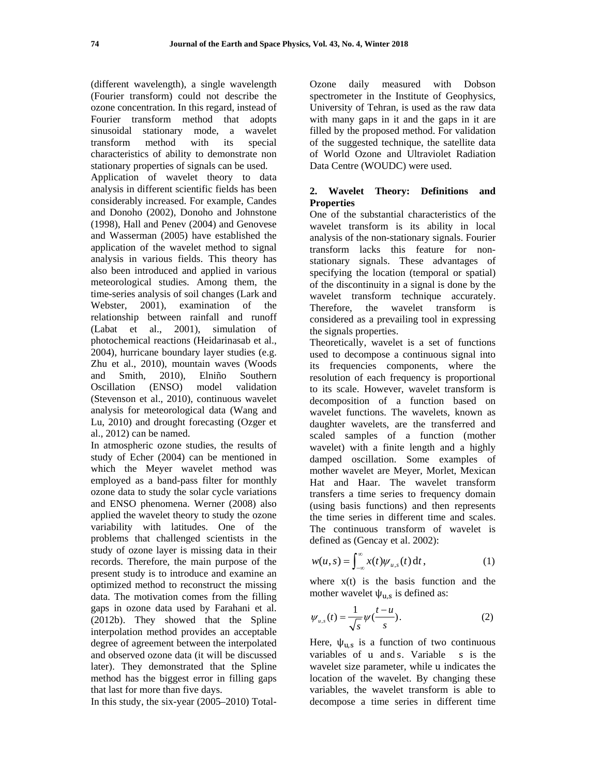(different wavelength), a single wavelength (Fourier transform) could not describe the ozone concentration. In this regard, instead of Fourier transform method that adopts sinusoidal stationary mode, a wavelet transform method with its special characteristics of ability to demonstrate non stationary properties of signals can be used.

Application of wavelet theory to data analysis in different scientific fields has been considerably increased. For example, Candes and Donoho (2002), Donoho and Johnstone (1998), Hall and Penev (2004) and Genovese and Wasserman (2005) have established the application of the wavelet method to signal analysis in various fields. This theory has also been introduced and applied in various meteorological studies. Among them, the time-series analysis of soil changes (Lark and Webster, 2001), examination of the relationship between rainfall and runoff (Labat et al., 2001), simulation of photochemical reactions (Heidarinasab et al., 2004), hurricane boundary layer studies (e.g. Zhu et al., 2010), mountain waves (Woods and Smith, 2010), Elniño Southern Oscillation (ENSO) model validation (Stevenson et al., 2010), continuous wavelet analysis for meteorological data (Wang and Lu, 2010) and drought forecasting (Ozger et al., 2012) can be named.

In atmospheric ozone studies, the results of study of Echer (2004) can be mentioned in which the Meyer wavelet method was employed as a band-pass filter for monthly ozone data to study the solar cycle variations and ENSO phenomena. Werner (2008) also applied the wavelet theory to study the ozone variability with latitudes. One of the problems that challenged scientists in the study of ozone layer is missing data in their records. Therefore, the main purpose of the present study is to introduce and examine an optimized method to reconstruct the missing data. The motivation comes from the filling gaps in ozone data used by Farahani et al. (2012b). They showed that the Spline interpolation method provides an acceptable degree of agreement between the interpolated and observed ozone data (it will be discussed later). They demonstrated that the Spline method has the biggest error in filling gaps that last for more than five days.

In this study, the six-year (2005–2010) Total-

Ozone daily measured with Dobson spectrometer in the Institute of Geophysics, University of Tehran, is used as the raw data with many gaps in it and the gaps in it are filled by the proposed method. For validation of the suggested technique, the satellite data of World Ozone and Ultraviolet Radiation Data Centre (WOUDC) were used.

# **2. Wavelet Theory: Definitions and Properties**

One of the substantial characteristics of the wavelet transform is its ability in local analysis of the non-stationary signals. Fourier transform lacks this feature for nonstationary signals. These advantages of specifying the location (temporal or spatial) of the discontinuity in a signal is done by the wavelet transform technique accurately. Therefore, the wavelet transform is considered as a prevailing tool in expressing the signals properties.

Theoretically, wavelet is a set of functions used to decompose a continuous signal into its frequencies components, where the resolution of each frequency is proportional to its scale. However, wavelet transform is decomposition of a function based on wavelet functions. The wavelets, known as daughter wavelets, are the transferred and scaled samples of a function (mother wavelet) with a finite length and a highly damped oscillation. Some examples of mother wavelet are Meyer, Morlet, Mexican Hat and Haar. The wavelet transform transfers a time series to frequency domain (using basis functions) and then represents the time series in different time and scales. The continuous transform of wavelet is defined as (Gencay et al. 2002):

$$
w(u,s) = \int_{-\infty}^{\infty} x(t) \psi_{u,s}(t) dt,
$$
 (1)

where  $x(t)$  is the basis function and the mother wavelet  $\psi_{u,s}$  is defined as:

$$
\psi_{u,s}(t) = \frac{1}{\sqrt{s}} \psi(\frac{t-u}{s}).
$$
\n(2)

Here,  $\psi_{u,s}$  is a function of two continuous variables of u and s. Variable s is the wavelet size parameter, while u indicates the location of the wavelet. By changing these variables, the wavelet transform is able to decompose a time series in different time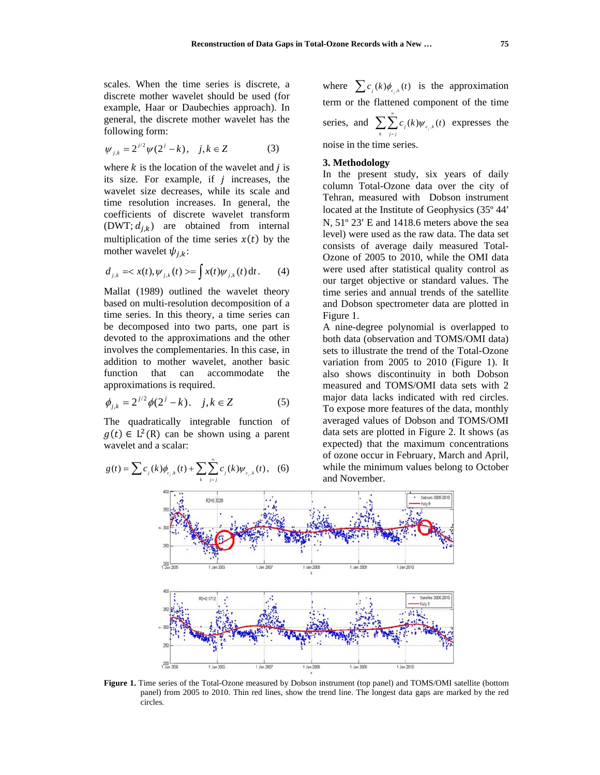scales. When the time series is discrete, a discrete mother wavelet should be used (for example, Haar or Daubechies approach). In general, the discrete mother wavelet has the following form:

$$
\psi_{j,k} = 2^{j/2} \psi(2^j - k), \quad j, k \in \mathbb{Z}
$$
 (3)

where  $k$  is the location of the wavelet and  $j$  is its size. For example, if  $j$  increases, the wavelet size decreases, while its scale and time resolution increases. In general, the coeff ficients of d discrete wa velet transf form (DWT;  $d_{j,k}$ ) are obtained from internal multiplication of the time series  $x(t)$  by the mother wavelet  $\psi_{j,k}$ :

$$
d_{j,k} = = \int x(t)\psi_{j,k}(t) dt.
$$
 (4)

Mallat (1989) outlined the wavelet theory based on multi-resolution decomposition of a time series. In this theory, a time series can be decomposed into two parts, one part is devoted to the approximations and the other involves the complementaries. In this case, in addition to mother wavelet, another basic function approximations is required. that can accommodate the

$$
\phi_{j,k} = 2^{j/2} \phi(2^j - k), \quad j, k \in \mathbb{Z}
$$
 (5)

The quadratically integrable function of  $g(t) \in L^2(R)$  can be shown using a parent wavelet and a scalar:

$$
g(t) = \sum c_j(k)\phi_{c_j,k}(t) + \sum_{k} \sum_{j=j}^{\infty} c_j(k)\psi_{c_j,k}(t), \quad (6)
$$

where  $\sum c_j(k) \phi_{c_j,k}(t)$  is the approximation term or the flattened component of the time series, and  $\sum \sum c_j(k) \psi_{c_j,k}(t)$  expresses the noise in the t time series. *k j*=*j* 80  $\overline{a}$ 

### 3. Methodology

 $N$ ,  $51^{\circ}$   $23'$  E and 1418.6 meters above the sea In the present study, six years of daily column Total-Ozone data over the city of Tehran, measured with Dobson instrument located at the Institute of Geophysics (35° 44' level) were used as the raw data. The data set consists of average daily measured Total-Ozone of 2005 to 2010, while the OMI data were used after statistical quality control as our target objective or standard values. The time series and annual trends of the satellite and Dobson spectrometer data are plotted in Figure 1.

A nine-degree polynomial is overlapped to both data (observation and TOMS/OMI data) sets to illustrate the trend of the Total-Ozone variation from  $2005$  to  $2010$  (Figure 1). It also shows discontinuity in both Dobson measured and TOMS/OMI data sets with 2 major data lacks indicated with red circles. To expose more features of the data, monthly averaged values of Dobson and TOMS/OMI data sets are plotted in Figure 2. It shows (as expected) that the maximum concentrations of ozone occur in February, March and April, while the minimum values belong to October and Novemb ber.



Figure 1. Time series of the Total-Ozone measured by Dobson instrument (top panel) and TOMS/OMI satellite (bottom panel) from 2005 to 2010. Thin red lines, show the trend line. The longest data gaps are marked by the red circles.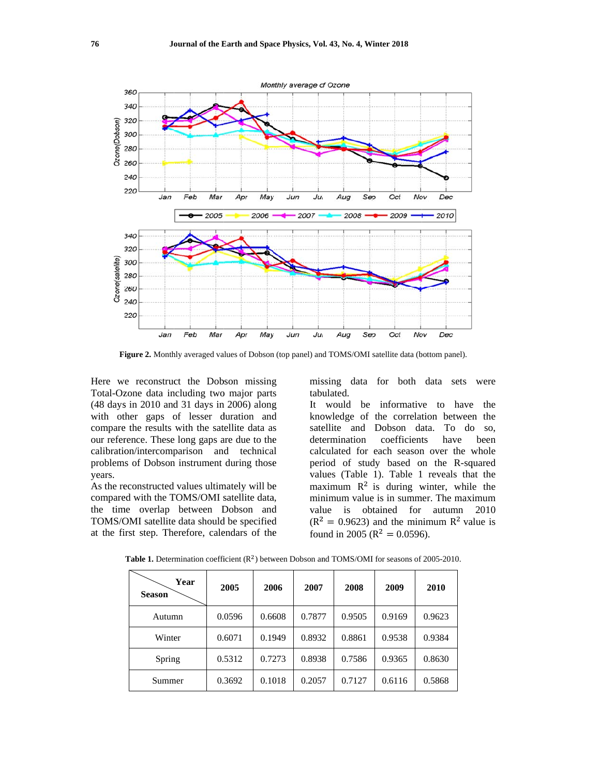

Figure 2. Monthly averaged values of Dobson (top panel) and TOMS/OMI satellite data (bottom panel).

Here we reconstruct the Dobson missing Total-Ozone data including two major parts (48 days in 2010 and 31 days in 2006) along with other gaps of lesser duration and compare the results with the satellite data as our reference. These long gaps are due to the calibration/intercomparison and technical problems of Dobson instrument during those years.

As the reconstructed values ultimately will be compared with the TOMS/OMI satellite data, the time overlap between Dobson and TOMS/OMI satellite data should be specified at the first step. Therefore, calendars of the missing data for both data sets were tabulated.

It would be informative to have the knowledge of the correlation between the satellite and Dobson data. To do so, coefficients determination have been calculated for each season over the whole period of study based on the R-squared values (Table 1). Table 1 reveals that the maximum  $R^2$  is during winter, while the minimum value is in summer. The maximum value is obtained for autumn 2010  $(R<sup>2</sup> = 0.9623)$  and the minimum  $R<sup>2</sup>$  value is found in 2005 ( $R^2 = 0.0596$ ).

| Year<br><b>Season</b> | 2005   | 2006   | 2007   | 2008   | 2009   | 2010   |
|-----------------------|--------|--------|--------|--------|--------|--------|
| Autumn                | 0.0596 | 0.6608 | 0.7877 | 0.9505 | 0.9169 | 0.9623 |
| Winter                | 0.6071 | 0.1949 | 0.8932 | 0.8861 | 0.9538 | 0.9384 |
| Spring                | 0.5312 | 0.7273 | 0.8938 | 0.7586 | 0.9365 | 0.8630 |
| Summer                | 0.3692 | 0.1018 | 0.2057 | 0.7127 | 0.6116 | 0.5868 |

Table 1. Determination coefficient  $(R^2)$  between Dobson and TOMS/OMI for seasons of 2005-2010.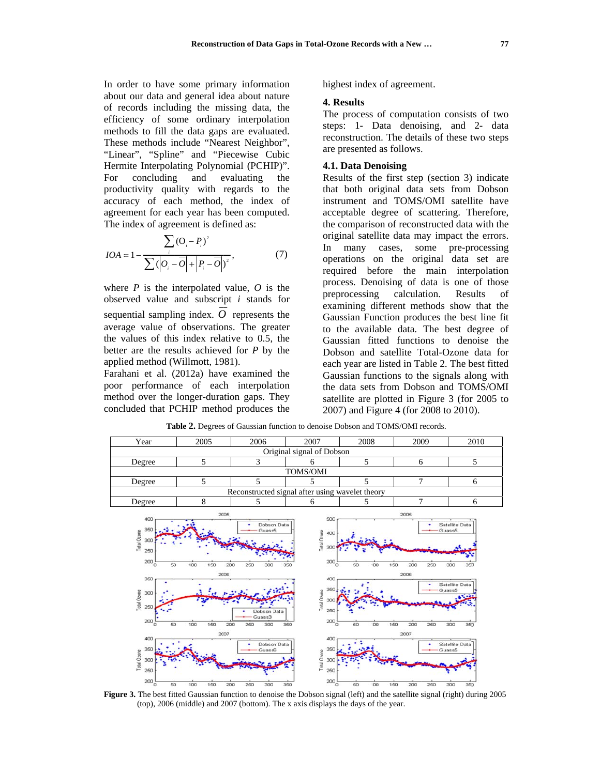In order to have some primary information about our data and general idea about nature of records including the missing data, the efficiency of some ordinary interpolation methods to fill the data gaps are evaluated. These methods include "Nearest Neighbor", "Linear", "Spline" and "Piecewise Cubic Hermite Interpolating Polynomial (PCHIP)". concluding For and evaluating the productivity quality with regards to the accuracy of each method, the index of agreement for each year has been computed. The index of agreement is defined as:

$$
IOA = 1 - \frac{\sum_{i} (O_i - P_i)^2}{\sum_{i} (O_i - \overline{O} + |P_i - \overline{O}|)^2},
$$
(7)

where  $P$  is the interpolated value,  $O$  is the observed value and subscript  $i$  stands for sequential sampling index.  $O$  represents the average value of observations. The greater the values of this index relative to 0.5, the better are the results achieved for  $P$  by the applied method (Willmott, 1981).

Farahani et al. (2012a) have examined the poor performance of each interpolation method over the longer-duration gaps. They concluded that PCHIP method produces the highest index of agreement.

### 4. Results

The process of computation consists of two steps: 1- Data denoising, and 2- data reconstruction. The details of these two steps are presented as follows.

### 4.1. Data Denoising

Results of the first step (section 3) indicate that both original data sets from Dobson instrument and TOMS/OMI satellite have acceptable degree of scattering. Therefore, the comparison of reconstructed data with the original satellite data may impact the errors. In many cases, some pre-processing operations on the original data set are required before the main interpolation process. Denoising of data is one of those preprocessing calculation. Results of examining different methods show that the Gaussian Function produces the best line fit to the available data. The best degree of Gaussian fitted functions to denoise the Dobson and satellite Total-Ozone data for each year are listed in Table 2. The best fitted Gaussian functions to the signals along with the data sets from Dobson and TOMS/OMI satellite are plotted in Figure 3 (for 2005 to 2007) and Figure 4 (for 2008 to 2010).



Table 2. Degrees of Gaussian function to denoise Dobson and TOMS/OMI records.

Figure 3. The best fitted Gaussian function to denoise the Dobson signal (left) and the satellite signal (right) during 2005 (top), 2006 (middle) and 2007 (bottom). The x axis displays the days of the year.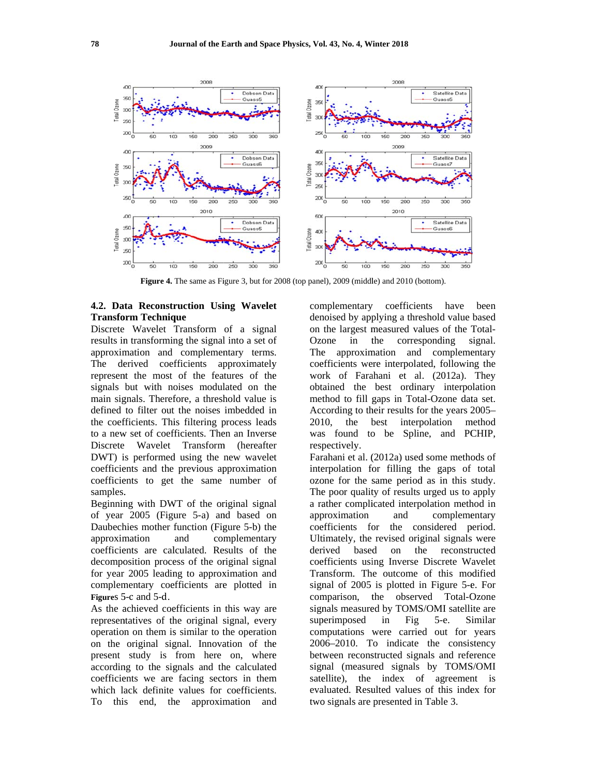

Figure 4. The same as Figure 3, but for 2008 (top panel), 2009 (middle) and 2010 (bottom).

# 4.2. Data Reconstruction Using Wavelet **Transform Technique**

Discrete Wavelet Transform of a signal results in transforming the signal into a set of approximation and complementary terms. The derived coefficients approximately represent the most of the features of the signals but with noises modulated on the main signals. Therefore, a threshold value is defined to filter out the noises imbedded in the coefficients. This filtering process leads to a new set of coefficients. Then an Inverse Discrete Wavelet Transform (hereafter DWT) is performed using the new wavelet coefficients and the previous approximation coefficients to get the same number of samples.

Beginning with DWT of the original signal of year 2005 (Figure 5-a) and based on Daubechies mother function (Figure 5-b) the approximation and complementary coefficients are calculated. Results of the decomposition process of the original signal for year 2005 leading to approximation and complementary coefficients are plotted in Figures 5-c and 5-d.

As the achieved coefficients in this way are representatives of the original signal, every operation on them is similar to the operation on the original signal. Innovation of the present study is from here on, where according to the signals and the calculated coefficients we are facing sectors in them which lack definite values for coefficients. To this end, the approximation and complementary coefficients have been denoised by applying a threshold value based on the largest measured values of the Total-Ozone in the corresponding signal. The approximation and complementary coefficients were interpolated, following the work of Farahani et al. (2012a). They obtained the best ordinary interpolation method to fill gaps in Total-Ozone data set. According to their results for the vears 2005– 2010, the best interpolation method was found to be Spline, and PCHIP, respectively.

Farahani et al. (2012a) used some methods of interpolation for filling the gaps of total ozone for the same period as in this study. The poor quality of results urged us to apply a rather complicated interpolation method in approximation and complementary coefficients for the considered period. Ultimately, the revised original signals were derived based on the reconstructed coefficients using Inverse Discrete Wavelet Transform. The outcome of this modified signal of 2005 is plotted in Figure 5-e. For comparison, the observed Total-Ozone signals measured by TOMS/OMI satellite are superimposed in Fig  $5-e.$ Similar computations were carried out for years 2006–2010. To indicate the consistency between reconstructed signals and reference signal (measured signals by TOMS/OMI satellite), the index of agreement is evaluated. Resulted values of this index for two signals are presented in Table 3.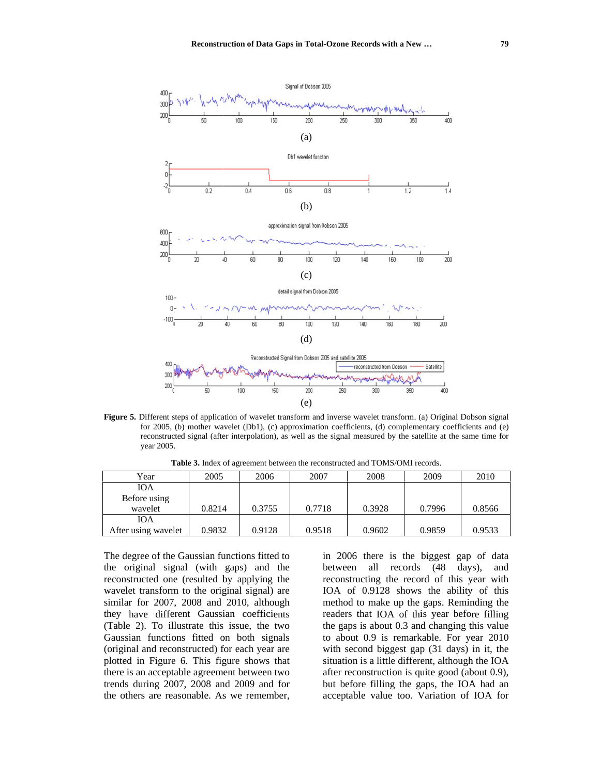

Figure 5. Different steps of application of wavelet transform and inverse wavelet transform. (a) Original Dobson signal for 2005, (b) mother wavelet (Db1), (c) approximation coefficients, (d) complementary coefficients and (e) reconstructed signal (after interpolation), as well as the signal measured by the satellite at the same time for year 2005.

| Year                | 2005   | 2006   | 2007   | 2008   | 2009   | 2010   |
|---------------------|--------|--------|--------|--------|--------|--------|
| IOA                 |        |        |        |        |        |        |
| Before using        |        |        |        |        |        |        |
| wavelet             | 0.8214 | 0.3755 | 0.7718 | 0.3928 | 0.7996 | 0.8566 |
| <b>IOA</b>          |        |        |        |        |        |        |
| After using wavelet | 0.9832 | 0.9128 | 0.9518 | 0.9602 | 0.9859 | 0.9533 |

Table 3. Index of agreement between the reconstructed and TOMS/OMI records.

The degree of the Gaussian functions fitted to the original signal (with gaps) and the reconstructed one (resulted by applying the wavelet transform to the original signal) are similar for 2007, 2008 and 2010, although they have different Gaussian coefficients (Table 2). To illustrate this issue, the two Gaussian functions fitted on both signals (original and reconstructed) for each year are plotted in Figure 6. This figure shows that there is an acceptable agreement between two trends during 2007, 2008 and 2009 and for the others are reasonable. As we remember, in 2006 there is the biggest gap of data between all records (48 days), and reconstructing the record of this year with IOA of 0.9128 shows the ability of this method to make up the gaps. Reminding the readers that IOA of this year before filling the gaps is about 0.3 and changing this value to about 0.9 is remarkable. For year 2010 with second biggest gap (31 days) in it, the situation is a little different, although the IOA after reconstruction is quite good (about 0.9), but before filling the gaps, the IOA had an acceptable value too. Variation of IOA for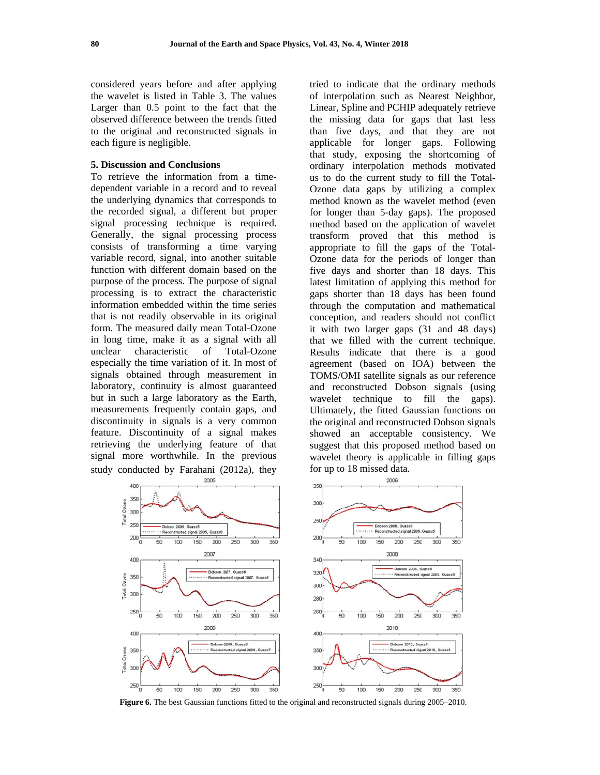considered years before and after applying the wavelet is listed in Table 3. The values Larger than 0.5 point to the fact that the observed difference between the trends fitted to the original and reconstructed signals in each figure is negligible.

### **5. Discussion and Conclusions**

To retrieve the information from a timedependent variable in a record and to reveal the underlying dynamics that corresponds to the recorded signal, a different but proper signal processing technique is required. Generally, the signal processing process consists of transforming a time varying variable record, signal, into another suitable function with different domain based on the purpose of the process. The purpose of signal processing is to extract the characteristic information embedded within the time series that is not readily observable in its original form. The measured daily mean Total-Ozone in long time, make it as a signal with all unclear characteristic of Total-Ozone especially the time variation of it. In most of signals obtained through measurement in laboratory, continuity is almost guaranteed but in such a large laboratory as the Earth, measurements frequently contain gaps, and discontinuity in signals is a very common feature. Discontinuity of a signal makes retrieving the underlying feature of that signal more worthwhile. In the previous study conducted by Farahani (2012a), they

tried to indicate that the ordinary methods of interpolation such as Nearest Neighbor, Linear, Spline and PCHIP adequately retrieve the missing data for gaps that last less than five days, and that they are not applicable for longer gaps. Following that study, exposing the shortcoming of ordinary interpolation methods motivated us to do the current study to fill the Total-Ozone data gaps by utilizing a complex method known as the wavelet method (even for longer than 5-day gaps). The proposed method based on the application of wavelet transform proved that this method is appropriate to fill the gaps of the Total-Ozone data for the periods of longer than five days and shorter than 18 days. This latest limitation of applying this method for gaps shorter than 18 days has been found through the computation and mathematical conception, and readers should not conflict it with two larger gaps (31 and 48 days) that we filled with the current technique. Results indicate that there is a good agreement (based on IOA) between the TOMS/OMI satellite signals as our reference and reconstructed Dobson signals (using wavelet technique to fill the gaps). Ultimately, the fitted Gaussian functions on the original and reconstructed Dobson signals showed an acceptable consistency. We suggest that this proposed method based on wavelet theory is applicable in filling gaps for up to 18 missed data.



Figure 6. The best Gaussian functions fitted to the original and reconstructed signals during 2005–2010.